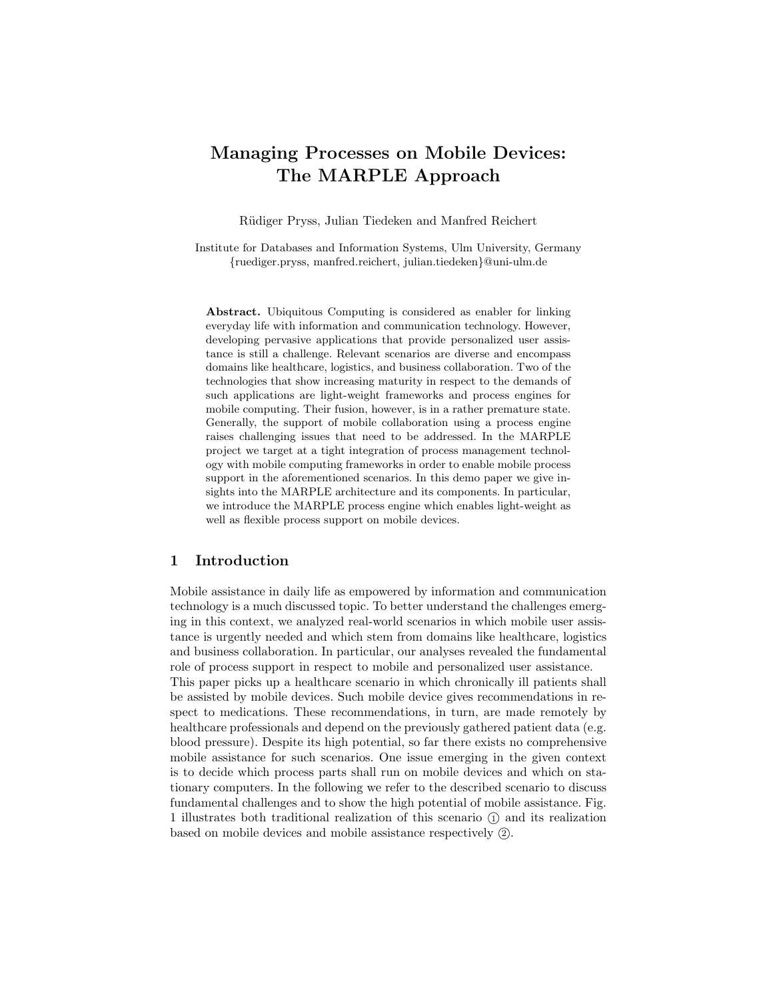# Managing Processes on Mobile Devices: The MARPLE Approach

R¨udiger Pryss, Julian Tiedeken and Manfred Reichert

Institute for Databases and Information Systems, Ulm University, Germany {ruediger.pryss, manfred.reichert, julian.tiedeken}@uni-ulm.de

Abstract. Ubiquitous Computing is considered as enabler for linking everyday life with information and communication technology. However, developing pervasive applications that provide personalized user assistance is still a challenge. Relevant scenarios are diverse and encompass domains like healthcare, logistics, and business collaboration. Two of the technologies that show increasing maturity in respect to the demands of such applications are light-weight frameworks and process engines for mobile computing. Their fusion, however, is in a rather premature state. Generally, the support of mobile collaboration using a process engine raises challenging issues that need to be addressed. In the MARPLE project we target at a tight integration of process management technology with mobile computing frameworks in order to enable mobile process support in the aforementioned scenarios. In this demo paper we give insights into the MARPLE architecture and its components. In particular, we introduce the MARPLE process engine which enables light-weight as well as flexible process support on mobile devices.

#### 1 Introduction

Mobile assistance in daily life as empowered by information and communication technology is a much discussed topic. To better understand the challenges emerging in this context, we analyzed real-world scenarios in which mobile user assistance is urgently needed and which stem from domains like healthcare, logistics and business collaboration. In particular, our analyses revealed the fundamental role of process support in respect to mobile and personalized user assistance. This paper picks up a healthcare scenario in which chronically ill patients shall be assisted by mobile devices. Such mobile device gives recommendations in respect to medications. These recommendations, in turn, are made remotely by healthcare professionals and depend on the previously gathered patient data (e.g. blood pressure). Despite its high potential, so far there exists no comprehensive mobile assistance for such scenarios. One issue emerging in the given context is to decide which process parts shall run on mobile devices and which on stationary computers. In the following we refer to the described scenario to discuss fundamental challenges and to show the high potential of mobile assistance. Fig. 1 illustrates both traditional realization of this scenario <sup>1</sup> and its realization based on mobile devices and mobile assistance respectively  $(2)$ .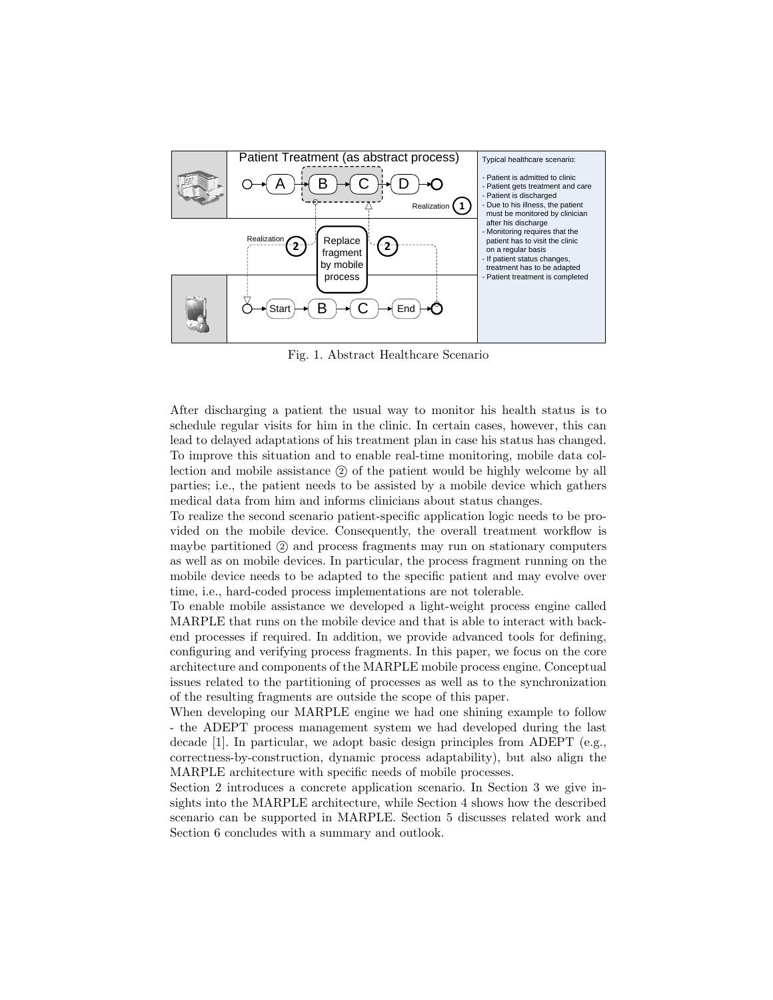

Fig. 1. Abstract Healthcare Scenario

After discharging a patient the usual way to monitor his health status is to schedule regular visits for him in the clinic. In certain cases, however, this can lead to delayed adaptations of his treatment plan in case his status has changed. To improve this situation and to enable real-time monitoring, mobile data collection and mobile assistance <sup>2</sup> of the patient would be highly welcome by all parties; i.e., the patient needs to be assisted by a mobile device which gathers medical data from him and informs clinicians about status changes.

To realize the second scenario patient-specific application logic needs to be provided on the mobile device. Consequently, the overall treatment workflow is maybe partitioned (2) and process fragments may run on stationary computers as well as on mobile devices. In particular, the process fragment running on the mobile device needs to be adapted to the specific patient and may evolve over time, i.e., hard-coded process implementations are not tolerable.

To enable mobile assistance we developed a light-weight process engine called MARPLE that runs on the mobile device and that is able to interact with backend processes if required. In addition, we provide advanced tools for defining, configuring and verifying process fragments. In this paper, we focus on the core architecture and components of the MARPLE mobile process engine. Conceptual issues related to the partitioning of processes as well as to the synchronization of the resulting fragments are outside the scope of this paper.

When developing our MARPLE engine we had one shining example to follow - the ADEPT process management system we had developed during the last decade [1]. In particular, we adopt basic design principles from ADEPT (e.g., correctness-by-construction, dynamic process adaptability), but also align the MARPLE architecture with specific needs of mobile processes.

Section 2 introduces a concrete application scenario. In Section 3 we give insights into the MARPLE architecture, while Section 4 shows how the described scenario can be supported in MARPLE. Section 5 discusses related work and Section 6 concludes with a summary and outlook.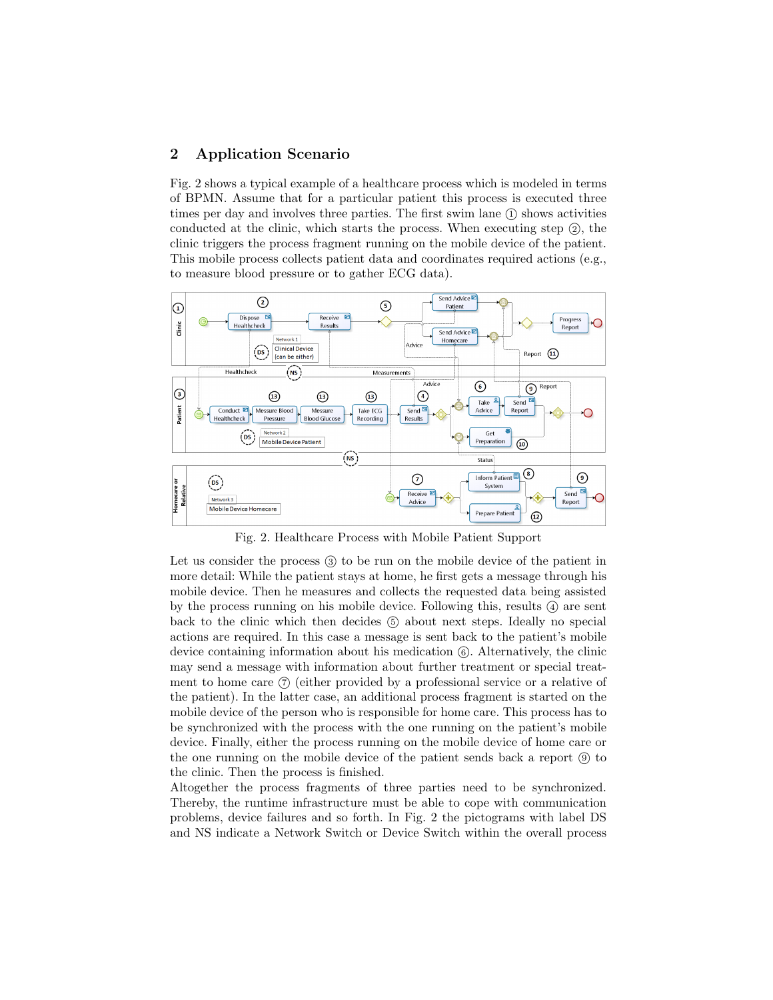# 2 Application Scenario

Fig. 2 shows a typical example of a healthcare process which is modeled in terms of BPMN. Assume that for a particular patient this process is executed three times per day and involves three parties. The first swim lane  $(1)$  shows activities conducted at the clinic, which starts the process. When executing step  $(2)$ , the clinic triggers the process fragment running on the mobile device of the patient. This mobile process collects patient data and coordinates required actions (e.g., to measure blood pressure or to gather ECG data).



Fig. 2. Healthcare Process with Mobile Patient Support

Let us consider the process  $(3)$  to be run on the mobile device of the patient in more detail: While the patient stays at home, he first gets a message through his mobile device. Then he measures and collects the requested data being assisted by the process running on his mobile device. Following this, results  $\alpha$  are sent back to the clinic which then decides <sup>5</sup> about next steps. Ideally no special actions are required. In this case a message is sent back to the patient's mobile device containing information about his medication  $(6)$ . Alternatively, the clinic may send a message with information about further treatment or special treatment to home care  $(7)$  (either provided by a professional service or a relative of the patient). In the latter case, an additional process fragment is started on the mobile device of the person who is responsible for home care. This process has to be synchronized with the process with the one running on the patient's mobile device. Finally, either the process running on the mobile device of home care or the one running on the mobile device of the patient sends back a report  $\circled{9}$  to the clinic. Then the process is finished.

Altogether the process fragments of three parties need to be synchronized. Thereby, the runtime infrastructure must be able to cope with communication problems, device failures and so forth. In Fig. 2 the pictograms with label DS and NS indicate a Network Switch or Device Switch within the overall process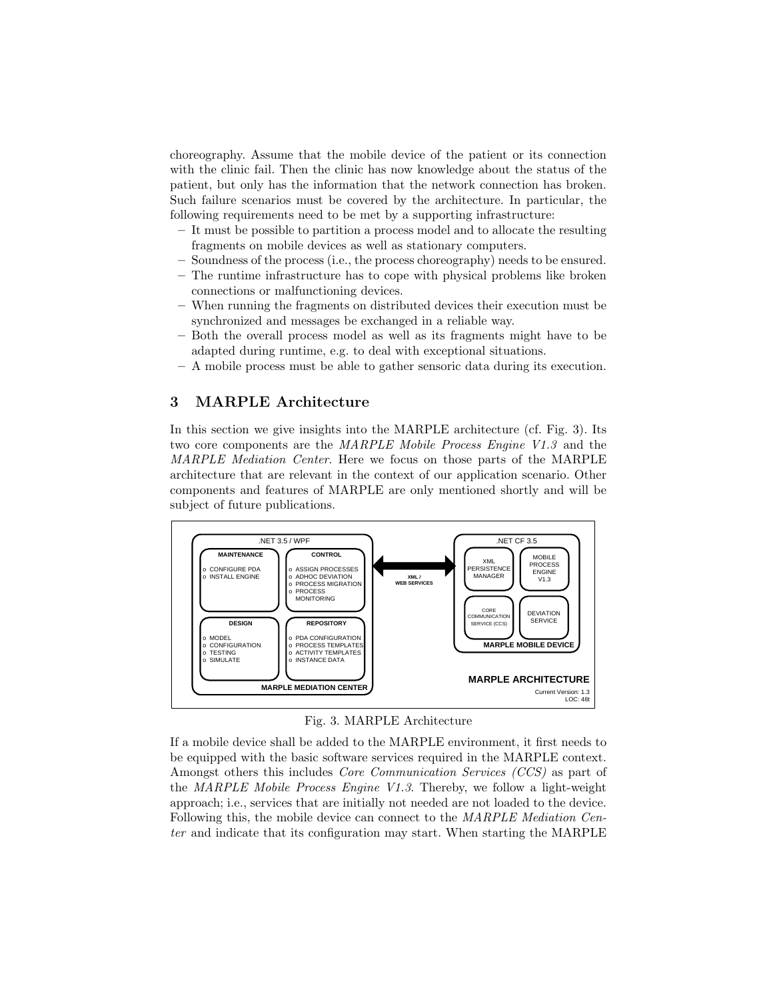choreography. Assume that the mobile device of the patient or its connection with the clinic fail. Then the clinic has now knowledge about the status of the patient, but only has the information that the network connection has broken. Such failure scenarios must be covered by the architecture. In particular, the following requirements need to be met by a supporting infrastructure:

- It must be possible to partition a process model and to allocate the resulting fragments on mobile devices as well as stationary computers.
- Soundness of the process (i.e., the process choreography) needs to be ensured.
- The runtime infrastructure has to cope with physical problems like broken connections or malfunctioning devices.
- When running the fragments on distributed devices their execution must be synchronized and messages be exchanged in a reliable way.
- Both the overall process model as well as its fragments might have to be adapted during runtime, e.g. to deal with exceptional situations.
- A mobile process must be able to gather sensoric data during its execution.

# 3 MARPLE Architecture

In this section we give insights into the MARPLE architecture (cf. Fig. 3). Its two core components are the MARPLE Mobile Process Engine V1.3 and the MARPLE Mediation Center. Here we focus on those parts of the MARPLE architecture that are relevant in the context of our application scenario. Other components and features of MARPLE are only mentioned shortly and will be subject of future publications.



Fig. 3. MARPLE Architecture

If a mobile device shall be added to the MARPLE environment, it first needs to be equipped with the basic software services required in the MARPLE context. Amongst others this includes Core Communication Services (CCS) as part of the MARPLE Mobile Process Engine V1.3. Thereby, we follow a light-weight approach; i.e., services that are initially not needed are not loaded to the device. Following this, the mobile device can connect to the MARPLE Mediation Center and indicate that its configuration may start. When starting the MARPLE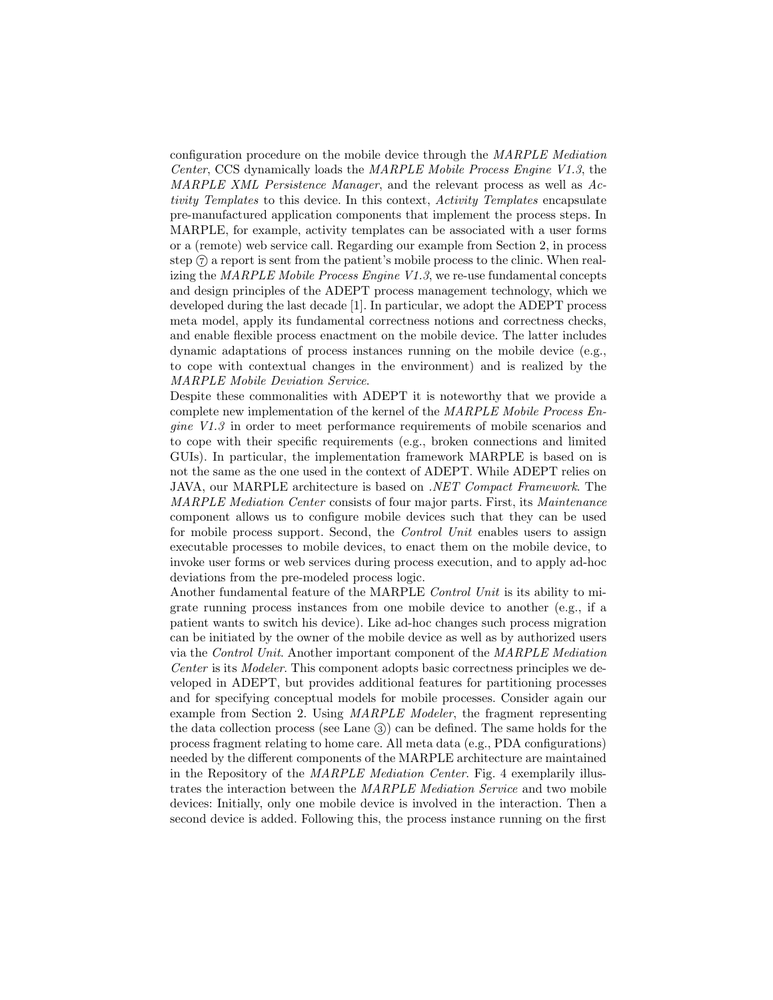configuration procedure on the mobile device through the MARPLE Mediation Center, CCS dynamically loads the MARPLE Mobile Process Engine V1.3, the MARPLE XML Persistence Manager, and the relevant process as well as Activity Templates to this device. In this context, Activity Templates encapsulate pre-manufactured application components that implement the process steps. In MARPLE, for example, activity templates can be associated with a user forms or a (remote) web service call. Regarding our example from Section 2, in process step <sup>7</sup> a report is sent from the patient's mobile process to the clinic. When realizing the MARPLE Mobile Process Engine  $V1.3$ , we re-use fundamental concepts and design principles of the ADEPT process management technology, which we developed during the last decade [1]. In particular, we adopt the ADEPT process meta model, apply its fundamental correctness notions and correctness checks, and enable flexible process enactment on the mobile device. The latter includes dynamic adaptations of process instances running on the mobile device (e.g., to cope with contextual changes in the environment) and is realized by the MARPLE Mobile Deviation Service.

Despite these commonalities with ADEPT it is noteworthy that we provide a complete new implementation of the kernel of the MARPLE Mobile Process Engine V1.3 in order to meet performance requirements of mobile scenarios and to cope with their specific requirements (e.g., broken connections and limited GUIs). In particular, the implementation framework MARPLE is based on is not the same as the one used in the context of ADEPT. While ADEPT relies on JAVA, our MARPLE architecture is based on .NET Compact Framework. The MARPLE Mediation Center consists of four major parts. First, its Maintenance component allows us to configure mobile devices such that they can be used for mobile process support. Second, the *Control Unit* enables users to assign executable processes to mobile devices, to enact them on the mobile device, to invoke user forms or web services during process execution, and to apply ad-hoc deviations from the pre-modeled process logic.

Another fundamental feature of the MARPLE Control Unit is its ability to migrate running process instances from one mobile device to another (e.g., if a patient wants to switch his device). Like ad-hoc changes such process migration can be initiated by the owner of the mobile device as well as by authorized users via the Control Unit. Another important component of the MARPLE Mediation Center is its Modeler. This component adopts basic correctness principles we developed in ADEPT, but provides additional features for partitioning processes and for specifying conceptual models for mobile processes. Consider again our example from Section 2. Using MARPLE Modeler, the fragment representing the data collection process (see Lane  $(3)$ ) can be defined. The same holds for the process fragment relating to home care. All meta data (e.g., PDA configurations) needed by the different components of the MARPLE architecture are maintained in the Repository of the MARPLE Mediation Center. Fig. 4 exemplarily illustrates the interaction between the MARPLE Mediation Service and two mobile devices: Initially, only one mobile device is involved in the interaction. Then a second device is added. Following this, the process instance running on the first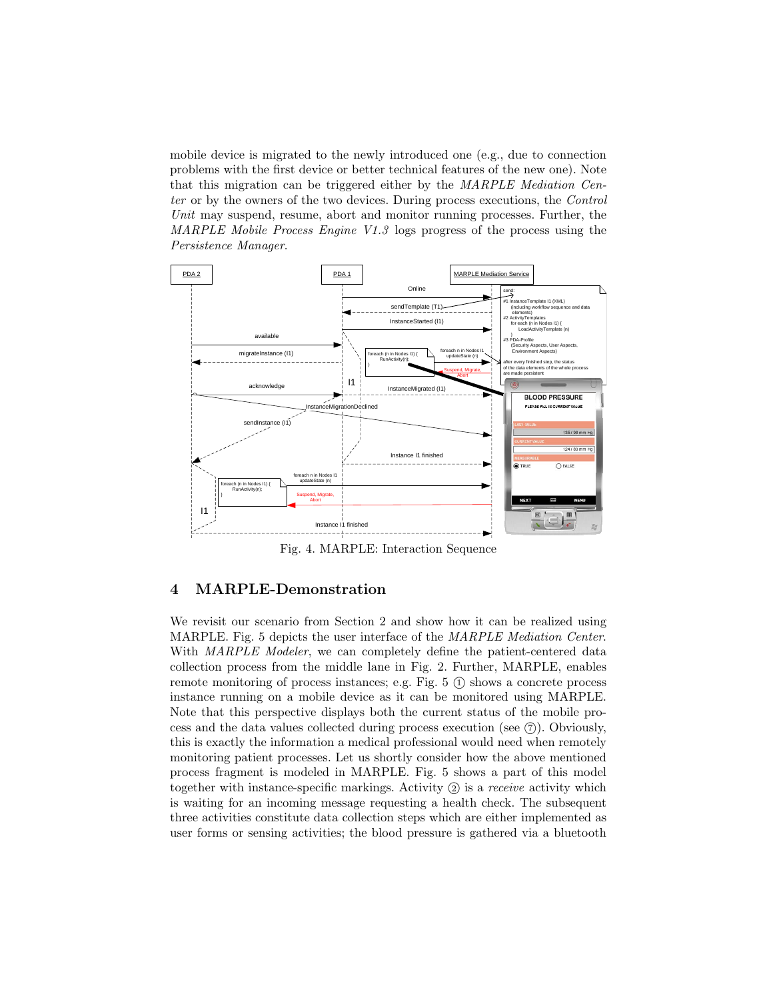mobile device is migrated to the newly introduced one (e.g., due to connection problems with the first device or better technical features of the new one). Note that this migration can be triggered either by the MARPLE Mediation Center or by the owners of the two devices. During process executions, the Control Unit may suspend, resume, abort and monitor running processes. Further, the MARPLE Mobile Process Engine V1.3 logs progress of the process using the Persistence Manager.



Fig. 4. MARPLE: Interaction Sequence

## 4 MARPLE-Demonstration

We revisit our scenario from Section 2 and show how it can be realized using MARPLE. Fig. 5 depicts the user interface of the MARPLE Mediation Center. With MARPLE Modeler, we can completely define the patient-centered data collection process from the middle lane in Fig. 2. Further, MARPLE, enables remote monitoring of process instances; e.g. Fig.  $5 \text{ (i)}$  shows a concrete process instance running on a mobile device as it can be monitored using MARPLE. Note that this perspective displays both the current status of the mobile process and the data values collected during process execution (see  $(7)$ ). Obviously, this is exactly the information a medical professional would need when remotely monitoring patient processes. Let us shortly consider how the above mentioned process fragment is modeled in MARPLE. Fig. 5 shows a part of this model together with instance-specific markings. Activity  $(2)$  is a *receive* activity which is waiting for an incoming message requesting a health check. The subsequent three activities constitute data collection steps which are either implemented as user forms or sensing activities; the blood pressure is gathered via a bluetooth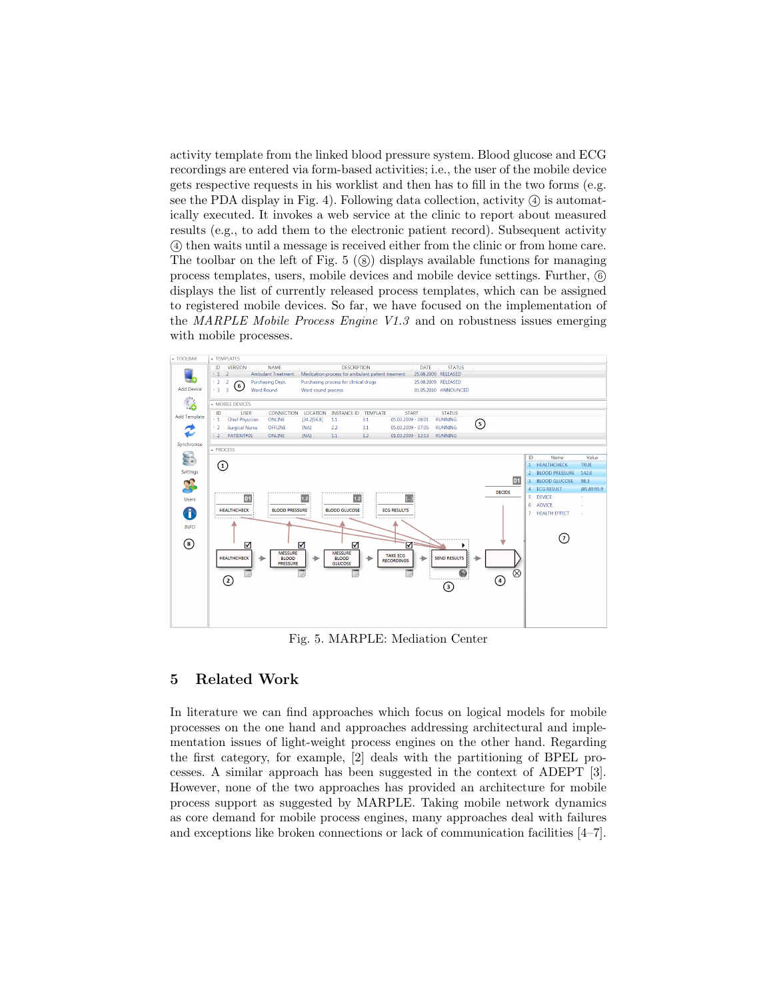activity template from the linked blood pressure system. Blood glucose and ECG recordings are entered via form-based activities; i.e., the user of the mobile device gets respective requests in his worklist and then has to fill in the two forms (e.g. see the PDA display in Fig. 4). Following data collection, activity  $\overline{a}$  is automatically executed. It invokes a web service at the clinic to report about measured results (e.g., to add them to the electronic patient record). Subsequent activity <sup>4</sup> then waits until a message is received either from the clinic or from home care. The toolbar on the left of Fig.  $5 \, (\textcircled{s})$  displays available functions for managing process templates, users, mobile devices and mobile device settings. Further, <sup>6</sup> displays the list of currently released process templates, which can be assigned to registered mobile devices. So far, we have focused on the implementation of the MARPLE Mobile Process Engine V1.3 and on robustness issues emerging with mobile processes.



Fig. 5. MARPLE: Mediation Center

## 5 Related Work

In literature we can find approaches which focus on logical models for mobile processes on the one hand and approaches addressing architectural and implementation issues of light-weight process engines on the other hand. Regarding the first category, for example, [2] deals with the partitioning of BPEL processes. A similar approach has been suggested in the context of ADEPT [3]. However, none of the two approaches has provided an architecture for mobile process support as suggested by MARPLE. Taking mobile network dynamics as core demand for mobile process engines, many approaches deal with failures and exceptions like broken connections or lack of communication facilities [4–7].